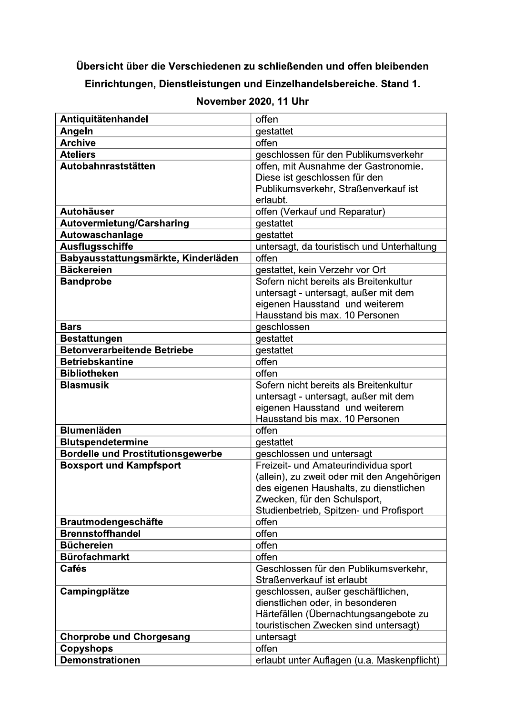## Übersicht über die Verschiedenen zu schließenden und offen bleibenden

|                                                                            | November 2020, 11 Uhr                                               |
|----------------------------------------------------------------------------|---------------------------------------------------------------------|
| Antiquitätenhandel                                                         | offen                                                               |
| Angeln                                                                     | gestattet                                                           |
| <b>Archive</b>                                                             | offen                                                               |
| <b>Ateliers</b>                                                            | geschlossen für den Publikumsverkehr                                |
| Autobahnraststätten                                                        | offen, mit Ausnahme der Gastronomie.                                |
|                                                                            | Diese ist geschlossen für den                                       |
|                                                                            | Publikumsverkehr, Straßenverkauf ist<br>erlaubt.                    |
| <b>Autohäuser</b>                                                          | offen (Verkauf und Reparatur)                                       |
| <b>Autovermietung/Carsharing</b>                                           | gestattet                                                           |
| Autowaschanlage                                                            | gestattet                                                           |
| <b>Ausflugsschiffe</b>                                                     | untersagt, da touristisch und Unterhaltung                          |
| Babyausstattungsmärkte, Kinderläden                                        | offen                                                               |
| <b>Bäckereien</b>                                                          | gestattet, kein Verzehr vor Ort                                     |
| <b>Bandprobe</b>                                                           | Sofern nicht bereits als Breitenkultur                              |
|                                                                            | untersagt - untersagt, außer mit dem                                |
|                                                                            | eigenen Hausstand und weiterem                                      |
| <b>Bars</b>                                                                | Hausstand bis max. 10 Personen                                      |
| Bestattungen                                                               | geschlossen<br>gestattet                                            |
| <b>Betonverarbeitende Betriebe</b>                                         | gestattet                                                           |
| <b>Betriebskantine</b>                                                     | offen                                                               |
| <b>Bibliotheken</b>                                                        | offen                                                               |
| <b>Blasmusik</b>                                                           | Sofern nicht bereits als Breitenkultur                              |
|                                                                            | untersagt - untersagt, außer mit dem                                |
|                                                                            | eigenen Hausstand und weiterem                                      |
|                                                                            | Hausstand bis max. 10 Personen                                      |
| <b>Blumenläden</b>                                                         | offen                                                               |
| <b>Blutspendetermine</b>                                                   | gestattet                                                           |
| <b>Bordelle und Prostitutionsgewerbe</b><br><b>Boxsport und Kampfsport</b> | geschlossen und untersagt<br>Freizeit- und Amateurindividualsport   |
|                                                                            | (allein), zu zweit oder mit den Angehörigen                         |
|                                                                            | des eigenen Haushalts, zu dienstlichen                              |
|                                                                            | Zwecken, für den Schulsport,                                        |
|                                                                            | Studienbetrieb, Spitzen- und Profisport                             |
| <b>Brautmodengeschäfte</b>                                                 | offen                                                               |
| <b>Brennstoffhandel</b>                                                    | offen                                                               |
| <b>Büchereien</b>                                                          | offen                                                               |
| <b>Bürofachmarkt</b>                                                       | offen                                                               |
| <b>Cafés</b>                                                               | Geschlossen für den Publikumsverkehr,<br>Straßenverkauf ist erlaubt |
| Campingplätze                                                              | geschlossen, außer geschäftlichen,                                  |
|                                                                            | dienstlichen oder, in besonderen                                    |
|                                                                            | Härtefällen (Übernachtungsangebote zu                               |
|                                                                            | touristischen Zwecken sind untersagt)                               |
| <b>Chorprobe und Chorgesang</b>                                            | untersagt                                                           |
| <b>Copyshops</b>                                                           | offen                                                               |
| <b>Demonstrationen</b>                                                     | erlaubt unter Auflagen (u.a. Maskenpflicht)                         |

## November 2020. 11 Uhr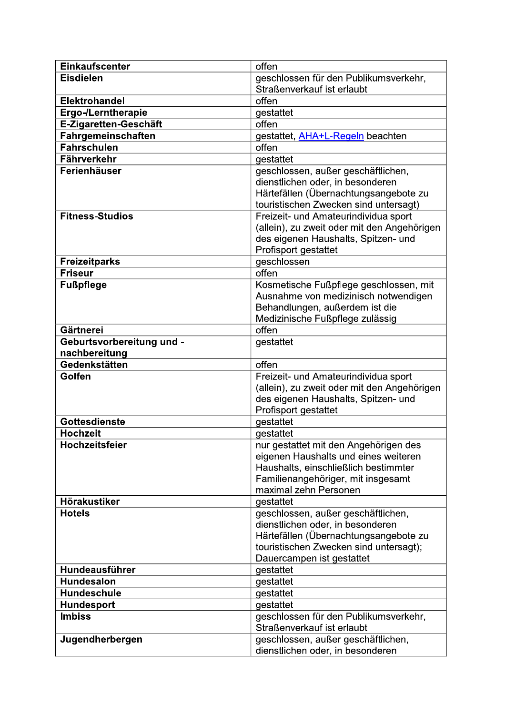| <b>Einkaufscenter</b>     | offen                                                                  |
|---------------------------|------------------------------------------------------------------------|
| <b>Eisdielen</b>          | geschlossen für den Publikumsverkehr,                                  |
|                           | Straßenverkauf ist erlaubt                                             |
| <b>Elektrohandel</b>      | offen                                                                  |
| <b>Ergo-/Lerntherapie</b> | gestattet                                                              |
| E-Zigaretten-Geschäft     | offen                                                                  |
| Fahrgemeinschaften        | gestattet, AHA+L-Regeln beachten                                       |
| <b>Fahrschulen</b>        | offen                                                                  |
| Fährverkehr               | gestattet                                                              |
| Ferienhäuser              | geschlossen, außer geschäftlichen,                                     |
|                           | dienstlichen oder, in besonderen                                       |
|                           | Härtefällen (Übernachtungsangebote zu                                  |
|                           | touristischen Zwecken sind untersagt)                                  |
| <b>Fitness-Studios</b>    | Freizeit- und Amateurindividualsport                                   |
|                           | (allein), zu zweit oder mit den Angehörigen                            |
|                           | des eigenen Haushalts, Spitzen- und                                    |
|                           | Profisport gestattet                                                   |
| <b>Freizeitparks</b>      | geschlossen                                                            |
| <b>Friseur</b>            | offen                                                                  |
| <b>Fußpflege</b>          | Kosmetische Fußpflege geschlossen, mit                                 |
|                           | Ausnahme von medizinisch notwendigen                                   |
|                           | Behandlungen, außerdem ist die                                         |
|                           | Medizinische Fußpflege zulässig                                        |
| Gärtnerei                 | offen                                                                  |
| Geburtsvorbereitung und - | gestattet                                                              |
| nachbereitung             |                                                                        |
|                           |                                                                        |
| Gedenkstätten             | offen                                                                  |
| Golfen                    | Freizeit- und Amateurindividualsport                                   |
|                           | (allein), zu zweit oder mit den Angehörigen                            |
|                           | des eigenen Haushalts, Spitzen- und                                    |
|                           | Profisport gestattet                                                   |
| <b>Gottesdienste</b>      | gestattet                                                              |
| <b>Hochzeit</b>           | gestattet                                                              |
| <b>Hochzeitsfeier</b>     | nur gestattet mit den Angehörigen des                                  |
|                           | eigenen Haushalts und eines weiteren                                   |
|                           | Haushalts, einschließlich bestimmter                                   |
|                           | Familienangehöriger, mit insgesamt                                     |
|                           | maximal zehn Personen                                                  |
| Hörakustiker              | gestattet                                                              |
| <b>Hotels</b>             | geschlossen, außer geschäftlichen,                                     |
|                           | dienstlichen oder, in besonderen                                       |
|                           | Härtefällen (Übernachtungsangebote zu                                  |
|                           | touristischen Zwecken sind untersagt);                                 |
|                           | Dauercampen ist gestattet                                              |
| Hundeausführer            | gestattet                                                              |
| <b>Hundesalon</b>         | gestattet                                                              |
| <b>Hundeschule</b>        | gestattet                                                              |
| Hundesport                | gestattet                                                              |
| <b>Imbiss</b>             | geschlossen für den Publikumsverkehr,                                  |
|                           | Straßenverkauf ist erlaubt                                             |
| Jugendherbergen           | geschlossen, außer geschäftlichen,<br>dienstlichen oder, in besonderen |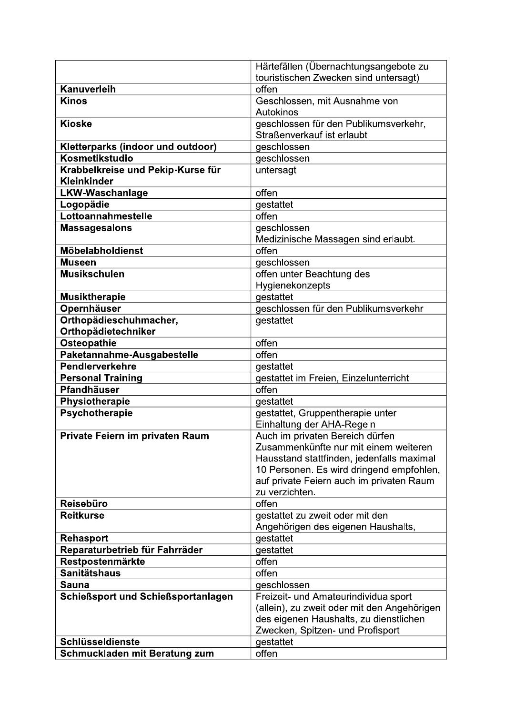| touristischen Zwecken sind untersagt)<br><b>Kanuverleih</b><br>offen<br><b>Kinos</b><br>Geschlossen, mit Ausnahme von<br>Autokinos<br>geschlossen für den Publikumsverkehr,<br><b>Kioske</b><br>Straßenverkauf ist erlaubt<br>Kletterparks (indoor und outdoor)<br>geschlossen<br>Kosmetikstudio<br>geschlossen<br>Krabbelkreise und Pekip-Kurse für<br>untersagt<br><b>Kleinkinder</b><br>offen<br><b>LKW-Waschanlage</b><br>Logopädie<br>gestattet<br>Lottoannahmestelle<br>offen<br><b>Massagesalons</b><br>geschlossen<br>Medizinische Massagen sind erlaubt.<br>Möbelabholdienst<br>offen<br>geschlossen<br><b>Museen</b><br><b>Musikschulen</b><br>offen unter Beachtung des<br>Hygienekonzepts<br><b>Musiktherapie</b><br>qestattet<br><b>Opernhäuser</b><br>geschlossen für den Publikumsverkehr<br>Orthopädieschuhmacher,<br>gestattet<br>Orthopädietechniker<br>offen<br>Osteopathie<br>offen<br>Paketannahme-Ausgabestelle<br>Pendlerverkehre<br>qestattet<br><b>Personal Training</b><br>gestattet im Freien, Einzelunterricht<br><b>Pfandhäuser</b><br>offen<br>Physiotherapie<br>gestattet<br>Psychotherapie<br>gestattet, Gruppentherapie unter<br>Einhaltung der AHA-Regeln<br>Private Feiern im privaten Raum<br>Auch im privaten Bereich dürfen<br>Zusammenkünfte nur mit einem weiteren<br>Hausstand stattfinden, jedenfalls maximal<br>10 Personen. Es wird dringend empfohlen,<br>auf private Feiern auch im privaten Raum<br>zu verzichten.<br><b>Reisebüro</b><br>offen<br><b>Reitkurse</b><br>gestattet zu zweit oder mit den<br>Angehörigen des eigenen Haushalts,<br>gestattet<br><b>Rehasport</b><br>Reparaturbetrieb für Fahrräder<br>gestattet<br>Restpostenmärkte<br>offen<br><b>Sanitätshaus</b><br>offen<br>Sauna<br>geschlossen<br><b>Schießsport und Schießsportanlagen</b><br>Freizeit- und Amateurindividualsport<br>(allein), zu zweit oder mit den Angehörigen<br>des eigenen Haushalts, zu dienstlichen<br>Zwecken, Spitzen- und Profisport<br>Schlüsseldienste<br>gestattet | Härtefällen (Übernachtungsangebote zu |
|---------------------------------------------------------------------------------------------------------------------------------------------------------------------------------------------------------------------------------------------------------------------------------------------------------------------------------------------------------------------------------------------------------------------------------------------------------------------------------------------------------------------------------------------------------------------------------------------------------------------------------------------------------------------------------------------------------------------------------------------------------------------------------------------------------------------------------------------------------------------------------------------------------------------------------------------------------------------------------------------------------------------------------------------------------------------------------------------------------------------------------------------------------------------------------------------------------------------------------------------------------------------------------------------------------------------------------------------------------------------------------------------------------------------------------------------------------------------------------------------------------------------------------------------------------------------------------------------------------------------------------------------------------------------------------------------------------------------------------------------------------------------------------------------------------------------------------------------------------------------------------------------------------------------------------------------------------------------------------------------------------------------|---------------------------------------|
|                                                                                                                                                                                                                                                                                                                                                                                                                                                                                                                                                                                                                                                                                                                                                                                                                                                                                                                                                                                                                                                                                                                                                                                                                                                                                                                                                                                                                                                                                                                                                                                                                                                                                                                                                                                                                                                                                                                                                                                                                     |                                       |
|                                                                                                                                                                                                                                                                                                                                                                                                                                                                                                                                                                                                                                                                                                                                                                                                                                                                                                                                                                                                                                                                                                                                                                                                                                                                                                                                                                                                                                                                                                                                                                                                                                                                                                                                                                                                                                                                                                                                                                                                                     |                                       |
|                                                                                                                                                                                                                                                                                                                                                                                                                                                                                                                                                                                                                                                                                                                                                                                                                                                                                                                                                                                                                                                                                                                                                                                                                                                                                                                                                                                                                                                                                                                                                                                                                                                                                                                                                                                                                                                                                                                                                                                                                     |                                       |
|                                                                                                                                                                                                                                                                                                                                                                                                                                                                                                                                                                                                                                                                                                                                                                                                                                                                                                                                                                                                                                                                                                                                                                                                                                                                                                                                                                                                                                                                                                                                                                                                                                                                                                                                                                                                                                                                                                                                                                                                                     |                                       |
|                                                                                                                                                                                                                                                                                                                                                                                                                                                                                                                                                                                                                                                                                                                                                                                                                                                                                                                                                                                                                                                                                                                                                                                                                                                                                                                                                                                                                                                                                                                                                                                                                                                                                                                                                                                                                                                                                                                                                                                                                     |                                       |
|                                                                                                                                                                                                                                                                                                                                                                                                                                                                                                                                                                                                                                                                                                                                                                                                                                                                                                                                                                                                                                                                                                                                                                                                                                                                                                                                                                                                                                                                                                                                                                                                                                                                                                                                                                                                                                                                                                                                                                                                                     |                                       |
|                                                                                                                                                                                                                                                                                                                                                                                                                                                                                                                                                                                                                                                                                                                                                                                                                                                                                                                                                                                                                                                                                                                                                                                                                                                                                                                                                                                                                                                                                                                                                                                                                                                                                                                                                                                                                                                                                                                                                                                                                     |                                       |
|                                                                                                                                                                                                                                                                                                                                                                                                                                                                                                                                                                                                                                                                                                                                                                                                                                                                                                                                                                                                                                                                                                                                                                                                                                                                                                                                                                                                                                                                                                                                                                                                                                                                                                                                                                                                                                                                                                                                                                                                                     |                                       |
|                                                                                                                                                                                                                                                                                                                                                                                                                                                                                                                                                                                                                                                                                                                                                                                                                                                                                                                                                                                                                                                                                                                                                                                                                                                                                                                                                                                                                                                                                                                                                                                                                                                                                                                                                                                                                                                                                                                                                                                                                     |                                       |
|                                                                                                                                                                                                                                                                                                                                                                                                                                                                                                                                                                                                                                                                                                                                                                                                                                                                                                                                                                                                                                                                                                                                                                                                                                                                                                                                                                                                                                                                                                                                                                                                                                                                                                                                                                                                                                                                                                                                                                                                                     |                                       |
|                                                                                                                                                                                                                                                                                                                                                                                                                                                                                                                                                                                                                                                                                                                                                                                                                                                                                                                                                                                                                                                                                                                                                                                                                                                                                                                                                                                                                                                                                                                                                                                                                                                                                                                                                                                                                                                                                                                                                                                                                     |                                       |
|                                                                                                                                                                                                                                                                                                                                                                                                                                                                                                                                                                                                                                                                                                                                                                                                                                                                                                                                                                                                                                                                                                                                                                                                                                                                                                                                                                                                                                                                                                                                                                                                                                                                                                                                                                                                                                                                                                                                                                                                                     |                                       |
|                                                                                                                                                                                                                                                                                                                                                                                                                                                                                                                                                                                                                                                                                                                                                                                                                                                                                                                                                                                                                                                                                                                                                                                                                                                                                                                                                                                                                                                                                                                                                                                                                                                                                                                                                                                                                                                                                                                                                                                                                     |                                       |
|                                                                                                                                                                                                                                                                                                                                                                                                                                                                                                                                                                                                                                                                                                                                                                                                                                                                                                                                                                                                                                                                                                                                                                                                                                                                                                                                                                                                                                                                                                                                                                                                                                                                                                                                                                                                                                                                                                                                                                                                                     |                                       |
|                                                                                                                                                                                                                                                                                                                                                                                                                                                                                                                                                                                                                                                                                                                                                                                                                                                                                                                                                                                                                                                                                                                                                                                                                                                                                                                                                                                                                                                                                                                                                                                                                                                                                                                                                                                                                                                                                                                                                                                                                     |                                       |
|                                                                                                                                                                                                                                                                                                                                                                                                                                                                                                                                                                                                                                                                                                                                                                                                                                                                                                                                                                                                                                                                                                                                                                                                                                                                                                                                                                                                                                                                                                                                                                                                                                                                                                                                                                                                                                                                                                                                                                                                                     |                                       |
|                                                                                                                                                                                                                                                                                                                                                                                                                                                                                                                                                                                                                                                                                                                                                                                                                                                                                                                                                                                                                                                                                                                                                                                                                                                                                                                                                                                                                                                                                                                                                                                                                                                                                                                                                                                                                                                                                                                                                                                                                     |                                       |
|                                                                                                                                                                                                                                                                                                                                                                                                                                                                                                                                                                                                                                                                                                                                                                                                                                                                                                                                                                                                                                                                                                                                                                                                                                                                                                                                                                                                                                                                                                                                                                                                                                                                                                                                                                                                                                                                                                                                                                                                                     |                                       |
|                                                                                                                                                                                                                                                                                                                                                                                                                                                                                                                                                                                                                                                                                                                                                                                                                                                                                                                                                                                                                                                                                                                                                                                                                                                                                                                                                                                                                                                                                                                                                                                                                                                                                                                                                                                                                                                                                                                                                                                                                     |                                       |
|                                                                                                                                                                                                                                                                                                                                                                                                                                                                                                                                                                                                                                                                                                                                                                                                                                                                                                                                                                                                                                                                                                                                                                                                                                                                                                                                                                                                                                                                                                                                                                                                                                                                                                                                                                                                                                                                                                                                                                                                                     |                                       |
|                                                                                                                                                                                                                                                                                                                                                                                                                                                                                                                                                                                                                                                                                                                                                                                                                                                                                                                                                                                                                                                                                                                                                                                                                                                                                                                                                                                                                                                                                                                                                                                                                                                                                                                                                                                                                                                                                                                                                                                                                     |                                       |
|                                                                                                                                                                                                                                                                                                                                                                                                                                                                                                                                                                                                                                                                                                                                                                                                                                                                                                                                                                                                                                                                                                                                                                                                                                                                                                                                                                                                                                                                                                                                                                                                                                                                                                                                                                                                                                                                                                                                                                                                                     |                                       |
|                                                                                                                                                                                                                                                                                                                                                                                                                                                                                                                                                                                                                                                                                                                                                                                                                                                                                                                                                                                                                                                                                                                                                                                                                                                                                                                                                                                                                                                                                                                                                                                                                                                                                                                                                                                                                                                                                                                                                                                                                     |                                       |
|                                                                                                                                                                                                                                                                                                                                                                                                                                                                                                                                                                                                                                                                                                                                                                                                                                                                                                                                                                                                                                                                                                                                                                                                                                                                                                                                                                                                                                                                                                                                                                                                                                                                                                                                                                                                                                                                                                                                                                                                                     |                                       |
|                                                                                                                                                                                                                                                                                                                                                                                                                                                                                                                                                                                                                                                                                                                                                                                                                                                                                                                                                                                                                                                                                                                                                                                                                                                                                                                                                                                                                                                                                                                                                                                                                                                                                                                                                                                                                                                                                                                                                                                                                     |                                       |
|                                                                                                                                                                                                                                                                                                                                                                                                                                                                                                                                                                                                                                                                                                                                                                                                                                                                                                                                                                                                                                                                                                                                                                                                                                                                                                                                                                                                                                                                                                                                                                                                                                                                                                                                                                                                                                                                                                                                                                                                                     |                                       |
|                                                                                                                                                                                                                                                                                                                                                                                                                                                                                                                                                                                                                                                                                                                                                                                                                                                                                                                                                                                                                                                                                                                                                                                                                                                                                                                                                                                                                                                                                                                                                                                                                                                                                                                                                                                                                                                                                                                                                                                                                     |                                       |
|                                                                                                                                                                                                                                                                                                                                                                                                                                                                                                                                                                                                                                                                                                                                                                                                                                                                                                                                                                                                                                                                                                                                                                                                                                                                                                                                                                                                                                                                                                                                                                                                                                                                                                                                                                                                                                                                                                                                                                                                                     |                                       |
|                                                                                                                                                                                                                                                                                                                                                                                                                                                                                                                                                                                                                                                                                                                                                                                                                                                                                                                                                                                                                                                                                                                                                                                                                                                                                                                                                                                                                                                                                                                                                                                                                                                                                                                                                                                                                                                                                                                                                                                                                     |                                       |
|                                                                                                                                                                                                                                                                                                                                                                                                                                                                                                                                                                                                                                                                                                                                                                                                                                                                                                                                                                                                                                                                                                                                                                                                                                                                                                                                                                                                                                                                                                                                                                                                                                                                                                                                                                                                                                                                                                                                                                                                                     |                                       |
|                                                                                                                                                                                                                                                                                                                                                                                                                                                                                                                                                                                                                                                                                                                                                                                                                                                                                                                                                                                                                                                                                                                                                                                                                                                                                                                                                                                                                                                                                                                                                                                                                                                                                                                                                                                                                                                                                                                                                                                                                     |                                       |
|                                                                                                                                                                                                                                                                                                                                                                                                                                                                                                                                                                                                                                                                                                                                                                                                                                                                                                                                                                                                                                                                                                                                                                                                                                                                                                                                                                                                                                                                                                                                                                                                                                                                                                                                                                                                                                                                                                                                                                                                                     |                                       |
|                                                                                                                                                                                                                                                                                                                                                                                                                                                                                                                                                                                                                                                                                                                                                                                                                                                                                                                                                                                                                                                                                                                                                                                                                                                                                                                                                                                                                                                                                                                                                                                                                                                                                                                                                                                                                                                                                                                                                                                                                     |                                       |
|                                                                                                                                                                                                                                                                                                                                                                                                                                                                                                                                                                                                                                                                                                                                                                                                                                                                                                                                                                                                                                                                                                                                                                                                                                                                                                                                                                                                                                                                                                                                                                                                                                                                                                                                                                                                                                                                                                                                                                                                                     |                                       |
|                                                                                                                                                                                                                                                                                                                                                                                                                                                                                                                                                                                                                                                                                                                                                                                                                                                                                                                                                                                                                                                                                                                                                                                                                                                                                                                                                                                                                                                                                                                                                                                                                                                                                                                                                                                                                                                                                                                                                                                                                     |                                       |
|                                                                                                                                                                                                                                                                                                                                                                                                                                                                                                                                                                                                                                                                                                                                                                                                                                                                                                                                                                                                                                                                                                                                                                                                                                                                                                                                                                                                                                                                                                                                                                                                                                                                                                                                                                                                                                                                                                                                                                                                                     |                                       |
|                                                                                                                                                                                                                                                                                                                                                                                                                                                                                                                                                                                                                                                                                                                                                                                                                                                                                                                                                                                                                                                                                                                                                                                                                                                                                                                                                                                                                                                                                                                                                                                                                                                                                                                                                                                                                                                                                                                                                                                                                     |                                       |
|                                                                                                                                                                                                                                                                                                                                                                                                                                                                                                                                                                                                                                                                                                                                                                                                                                                                                                                                                                                                                                                                                                                                                                                                                                                                                                                                                                                                                                                                                                                                                                                                                                                                                                                                                                                                                                                                                                                                                                                                                     |                                       |
|                                                                                                                                                                                                                                                                                                                                                                                                                                                                                                                                                                                                                                                                                                                                                                                                                                                                                                                                                                                                                                                                                                                                                                                                                                                                                                                                                                                                                                                                                                                                                                                                                                                                                                                                                                                                                                                                                                                                                                                                                     |                                       |
|                                                                                                                                                                                                                                                                                                                                                                                                                                                                                                                                                                                                                                                                                                                                                                                                                                                                                                                                                                                                                                                                                                                                                                                                                                                                                                                                                                                                                                                                                                                                                                                                                                                                                                                                                                                                                                                                                                                                                                                                                     |                                       |
|                                                                                                                                                                                                                                                                                                                                                                                                                                                                                                                                                                                                                                                                                                                                                                                                                                                                                                                                                                                                                                                                                                                                                                                                                                                                                                                                                                                                                                                                                                                                                                                                                                                                                                                                                                                                                                                                                                                                                                                                                     |                                       |
|                                                                                                                                                                                                                                                                                                                                                                                                                                                                                                                                                                                                                                                                                                                                                                                                                                                                                                                                                                                                                                                                                                                                                                                                                                                                                                                                                                                                                                                                                                                                                                                                                                                                                                                                                                                                                                                                                                                                                                                                                     |                                       |
|                                                                                                                                                                                                                                                                                                                                                                                                                                                                                                                                                                                                                                                                                                                                                                                                                                                                                                                                                                                                                                                                                                                                                                                                                                                                                                                                                                                                                                                                                                                                                                                                                                                                                                                                                                                                                                                                                                                                                                                                                     |                                       |
|                                                                                                                                                                                                                                                                                                                                                                                                                                                                                                                                                                                                                                                                                                                                                                                                                                                                                                                                                                                                                                                                                                                                                                                                                                                                                                                                                                                                                                                                                                                                                                                                                                                                                                                                                                                                                                                                                                                                                                                                                     |                                       |
|                                                                                                                                                                                                                                                                                                                                                                                                                                                                                                                                                                                                                                                                                                                                                                                                                                                                                                                                                                                                                                                                                                                                                                                                                                                                                                                                                                                                                                                                                                                                                                                                                                                                                                                                                                                                                                                                                                                                                                                                                     |                                       |
|                                                                                                                                                                                                                                                                                                                                                                                                                                                                                                                                                                                                                                                                                                                                                                                                                                                                                                                                                                                                                                                                                                                                                                                                                                                                                                                                                                                                                                                                                                                                                                                                                                                                                                                                                                                                                                                                                                                                                                                                                     |                                       |
|                                                                                                                                                                                                                                                                                                                                                                                                                                                                                                                                                                                                                                                                                                                                                                                                                                                                                                                                                                                                                                                                                                                                                                                                                                                                                                                                                                                                                                                                                                                                                                                                                                                                                                                                                                                                                                                                                                                                                                                                                     |                                       |
|                                                                                                                                                                                                                                                                                                                                                                                                                                                                                                                                                                                                                                                                                                                                                                                                                                                                                                                                                                                                                                                                                                                                                                                                                                                                                                                                                                                                                                                                                                                                                                                                                                                                                                                                                                                                                                                                                                                                                                                                                     |                                       |
|                                                                                                                                                                                                                                                                                                                                                                                                                                                                                                                                                                                                                                                                                                                                                                                                                                                                                                                                                                                                                                                                                                                                                                                                                                                                                                                                                                                                                                                                                                                                                                                                                                                                                                                                                                                                                                                                                                                                                                                                                     |                                       |
| offen<br>Schmuckladen mit Beratung zum                                                                                                                                                                                                                                                                                                                                                                                                                                                                                                                                                                                                                                                                                                                                                                                                                                                                                                                                                                                                                                                                                                                                                                                                                                                                                                                                                                                                                                                                                                                                                                                                                                                                                                                                                                                                                                                                                                                                                                              |                                       |